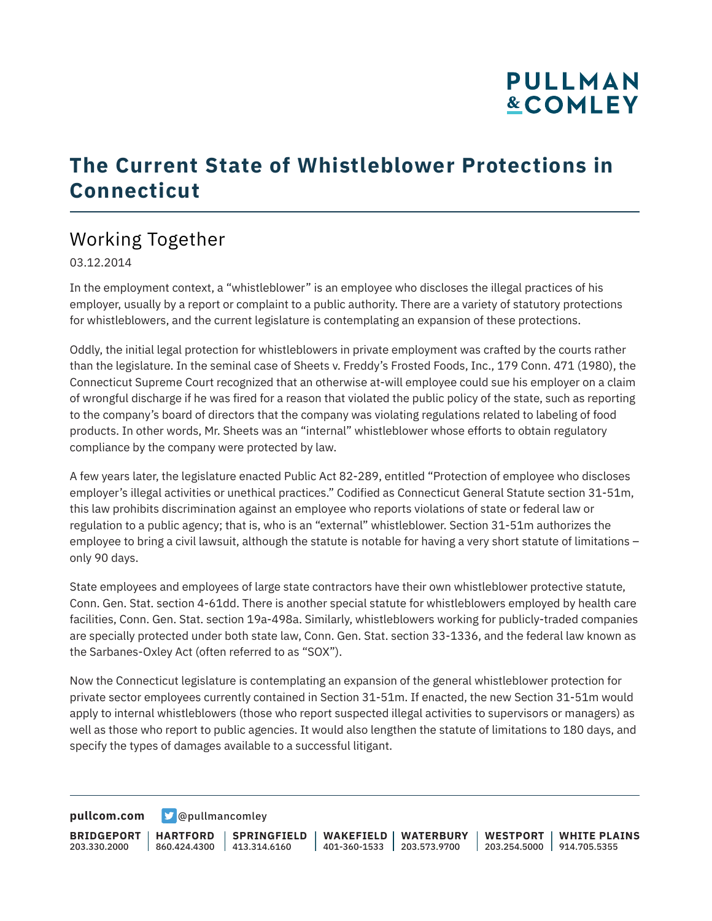# **PULLMAN &COMLEY**

### **The Current State of Whistleblower Protections in Connecticut**

### Working Together

03.12.2014

In the employment context, a "whistleblower" is an employee who discloses the illegal practices of his employer, usually by a report or complaint to a public authority. There are a variety of statutory protections for whistleblowers, and the current legislature is contemplating an expansion of these protections.

Oddly, the initial legal protection for whistleblowers in private employment was crafted by the courts rather than the legislature. In the seminal case of Sheets v. Freddy's Frosted Foods, Inc., 179 Conn. 471 (1980), the Connecticut Supreme Court recognized that an otherwise at-will employee could sue his employer on a claim of wrongful discharge if he was fired for a reason that violated the public policy of the state, such as reporting to the company's board of directors that the company was violating regulations related to labeling of food products. In other words, Mr. Sheets was an "internal" whistleblower whose efforts to obtain regulatory compliance by the company were protected by law.

A few years later, the legislature enacted Public Act 82-289, entitled "Protection of employee who discloses employer's illegal activities or unethical practices." Codified as Connecticut General Statute section 31-51m, this law prohibits discrimination against an employee who reports violations of state or federal law or regulation to a public agency; that is, who is an "external" whistleblower. Section 31-51m authorizes the employee to bring a civil lawsuit, although the statute is notable for having a very short statute of limitations – only 90 days.

State employees and employees of large state contractors have their own whistleblower protective statute, Conn. Gen. Stat. section 4-61dd. There is another special statute for whistleblowers employed by health care facilities, Conn. Gen. Stat. section 19a-498a. Similarly, whistleblowers working for publicly-traded companies are specially protected under both state law, Conn. Gen. Stat. section 33-1336, and the federal law known as the Sarbanes-Oxley Act (often referred to as "SOX").

Now the Connecticut legislature is contemplating an expansion of the general whistleblower protection for private sector employees currently contained in Section 31-51m. If enacted, the new Section 31-51m would apply to internal whistleblowers (those who report suspected illegal activities to supervisors or managers) as well as those who report to public agencies. It would also lengthen the statute of limitations to 180 days, and specify the types of damages available to a successful litigant.

**[pullcom.com](https://www.pullcom.com) g** [@pullmancomley](https://twitter.com/PullmanComley)

**BRIDGEPORT** 203.330.2000 **HARTFORD** 860.424.4300 413.314.6160 **SPRINGFIELD WAKEFIELD WATERBURY** 401-360-1533 203.573.9700 **WESTPORT WHITE PLAINS** 203.254.5000 914.705.5355